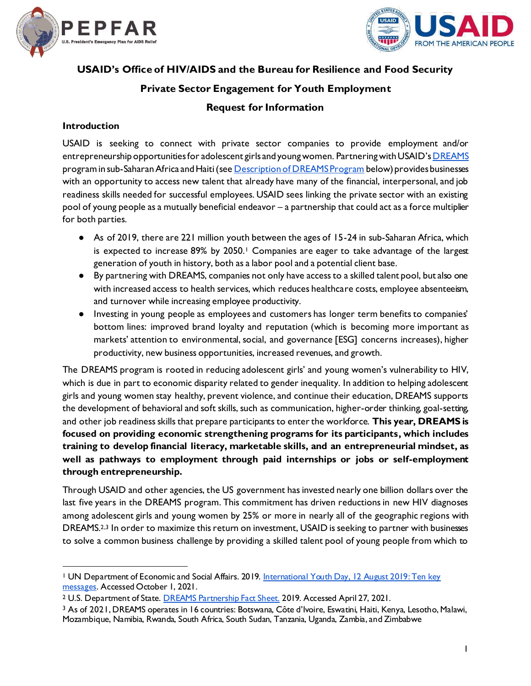



# **USAID's Office of HIV/AIDS and the Bureau for Resilience and Food Security**

## **Private Sector Engagement for Youth Employment**

## **Request for Information**

#### **Introduction**

USAID is seeking to connect with private sector companies to provide employment and/or entrepreneurship opportunities for adolescent girls and young women. Partnering with USAID's [DREAMS](https://www.usaid.gov/global-health/health-areas/hiv-and-aids/technical-areas/dreams) program in sub-Saharan Africa and Haiti (se[e Description of DREAMS Program](#page-3-0) below) provides businesses with an opportunity to access new talent that already have many of the financial, interpersonal, and job readiness skills needed for successful employees. USAID sees linking the private sector with an existing pool of young people as a mutually beneficial endeavor – a partnership that could act as a force multiplier for both parties.

- As of 2019, there are 221 million youth between the ages of 15-24 in sub-Saharan Africa, which is expected to increase  $89\%$  by 2050.<sup>1</sup> Companies are eager to take advantage of the largest generation of youth in history, both as a labor pool and a potential client base.
- By partnering with DREAMS, companies not only have access to a skilled talent pool, but also one with increased access to health services, which reduces healthcare costs, employee absenteeism, and turnover while increasing employee productivity.
- Investing in young people as employees and customers has longer term benefits to companies' bottom lines: improved brand loyalty and reputation (which is becoming more important as markets' attention to environmental, social, and governance [ESG] concerns increases), higher productivity, new business opportunities, increased revenues, and growth.

The DREAMS program is rooted in reducing adolescent girls' and young women's vulnerability to HIV, which is due in part to economic disparity related to gender inequality. In addition to helping adolescent girls and young women stay healthy, prevent violence, and continue their education, DREAMS supports the development of behavioral and soft skills, such as communication, higher-order thinking, goal-setting, and other job readiness skills that prepare participants to enter the workforce. **This year, DREAMS is focused on providing economic strengthening programs for its participants, which includes training to develop financial literacy, marketable skills, and an entrepreneurial mindset, as well as pathways to employment through paid internships or jobs or self-employment through entrepreneurship.** 

Through USAID and other agencies, the US government has invested nearly one billion dollars over the last five years in the DREAMS program. This commitment has driven reductions in new HIV diagnoses among adolescent girls and young women by 25% or more in nearly all of the geographic regions with DREAMS.<sup>2,3</sup> In order to maximize this return on investment, USAID is seeking to partner with businesses to solve a common business challenge by providing a skilled talent pool of young people from which to

<sup>&</sup>lt;sup>1</sup> UN Department of Economic and Social Affairs. 2019. International Youth Day, 12 August 2019: Ten key [messages.](https://www.un.org/development/desa/youth/wp-content/uploads/sites/21/2019/08/WYP2019_10-Key-Messages_GZ_8AUG19.pdf) Accessed October 1, 2021.

<sup>2</sup> U.S. Department of Stat[e. DREAMS Partnership Fact Sheet.](https://www.state.gov/wp-content/uploads/2020/01/DREAMS-Partnership-Fact-Sheet_WAD_2019.pdf) 2019. Accessed April 27, 2021.

<sup>3</sup> As of 2021, DREAMS operates in 16 countries: Botswana, Côte d'Ivoire, Eswatini, Haiti, Kenya, Lesotho, Malawi, Mozambique, Namibia, Rwanda, South Africa, South Sudan, Tanzania, Uganda, Zambia, and Zimbabwe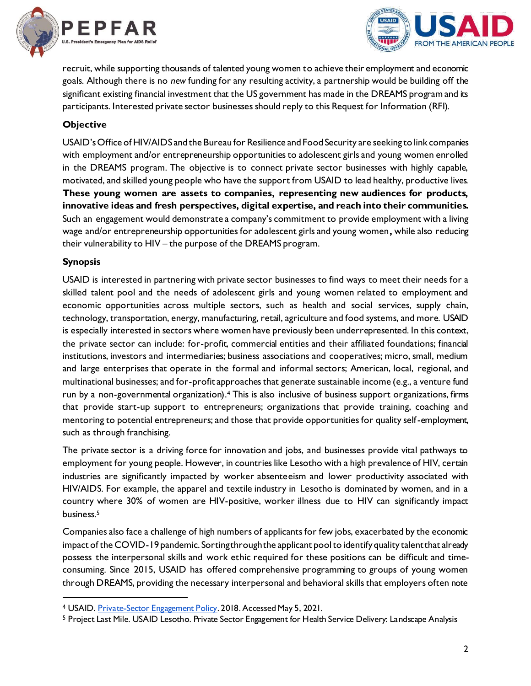



recruit, while supporting thousands of talented young women to achieve their employment and economic goals. Although there is no *new* funding for any resulting activity, a partnership would be building off the significant existing financial investment that the US government has made in the DREAMS program and its participants. Interested private sector businesses should reply to this Request for Information (RFI).

### **Objective**

USAID'sOffice of HIV/AIDS and the Bureau for Resilience and Food Security are seeking to link companies with employment and/or entrepreneurship opportunities to adolescent girls and young women enrolled in the DREAMS program. The objective is to connect private sector businesses with highly capable, motivated, and skilled young people who have the support from USAID to lead healthy, productive lives. **These young women are assets to companies, representing new audiences for products, innovative ideas and fresh perspectives, digital expertise, and reach into their communities.**  Such an engagement would demonstrate a company's commitment to provide employment with a living wage and/or entrepreneurship opportunities for adolescent girls and young women**,** while also reducing their vulnerability to HIV – the purpose of the DREAMS program.

#### **Synopsis**

USAID is interested in partnering with private sector businesses to find ways to meet their needs for a skilled talent pool and the needs of adolescent girls and young women related to employment and economic opportunities across multiple sectors, such as health and social services, supply chain, technology, transportation, energy, manufacturing, retail, agriculture and food systems, and more. USAID is especially interested in sectors where women have previously been underrepresented. In this context, the private sector can include: for-profit, commercial entities and their affiliated foundations; financial institutions, investors and intermediaries; business associations and cooperatives; micro, small, medium and large enterprises that operate in the formal and informal sectors; American, local, regional, and multinational businesses; and for-profit approaches that generate sustainable income (e.g., a venture fund run by a non-governmental organization).<sup>4</sup> This is also inclusive of business support organizations, firms that provide start-up support to entrepreneurs; organizations that provide training, coaching and mentoring to potential entrepreneurs; and those that provide opportunities for quality self-employment, such as through franchising.

The private sector is a driving force for innovation and jobs, and businesses provide vital pathways to employment for young people. However, in countries like Lesotho with a high prevalence of HIV, certain industries are significantly impacted by worker absenteeism and lower productivity associated with HIV/AIDS. For example, the apparel and textile industry in Lesotho is dominated by women, and in a country where 30% of women are HIV-positive, worker illness due to HIV can significantly impact business.<sup>5</sup>

Companies also face a challenge of high numbers of applicants for few jobs, exacerbated by the economic impact of the COVID-19 pandemic. Sorting through the applicant pool to identify quality talent that already possess the interpersonal skills and work ethic required for these positions can be difficult and timeconsuming. Since 2015, USAID has offered comprehensive programming to groups of young women through DREAMS, providing the necessary interpersonal and behavioral skills that employers often note

<sup>4</sup> USAID[. Private-Sector Engagement Policy](https://www.usaid.gov/sites/default/files/documents/1865/usaid_psepolicy_final.pdf). 2018. Accessed May 5, 2021.

<sup>5</sup> Project Last Mile. USAID Lesotho. Private Sector Engagement for Health Service Delivery: Landscape Analysis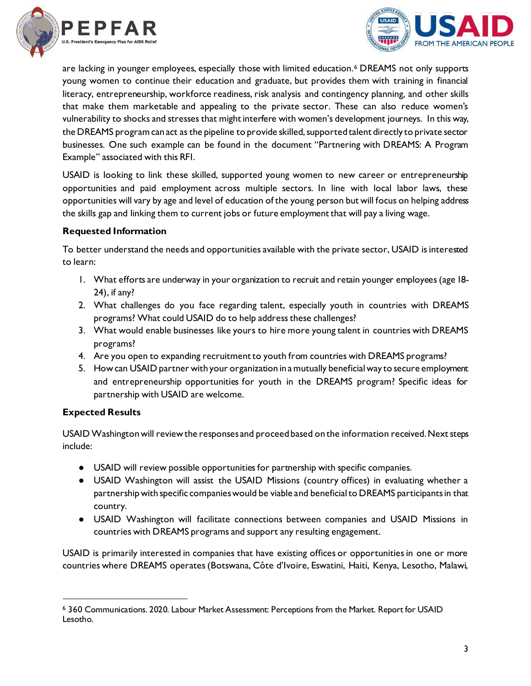



are lacking in younger employees, especially those with limited education.<sup>6</sup> DREAMS not only supports young women to continue their education and graduate, but provides them with training in financial literacy, entrepreneurship, workforce readiness, risk analysis and contingency planning, and other skills that make them marketable and appealing to the private sector. These can also reduce women's vulnerability to shocks and stresses that might interfere with women's development journeys. In this way, the DREAMS program can act as the pipeline to provide skilled, supported talent directly to private sector businesses. One such example can be found in the document "Partnering with DREAMS: A Program Example" associated with this RFI.

USAID is looking to link these skilled, supported young women to new career or entrepreneurship opportunities and paid employment across multiple sectors. In line with local labor laws, these opportunities will vary by age and level of education of the young person but will focus on helping address the skills gap and linking them to current jobs or future employment that will pay a living wage.

#### **Requested Information**

To better understand the needs and opportunities available with the private sector, USAID is interested to learn:

- 1. What efforts are underway in your organization to recruit and retain younger employees (age 18- 24), if any?
- 2. What challenges do you face regarding talent, especially youth in countries with DREAMS programs? What could USAID do to help address these challenges?
- 3. What would enable businesses like yours to hire more young talent in countries with DREAMS programs?
- 4. Are you open to expanding recruitment to youth from countries with DREAMS programs?
- 5. How can USAID partner with your organization in a mutually beneficial way to secure employment and entrepreneurship opportunities for youth in the DREAMS program? Specific ideas for partnership with USAID are welcome.

### **Expected Results**

USAID Washington will review the responses and proceed based on the information received. Next steps include:

- USAID will review possible opportunities for partnership with specific companies.
- USAID Washington will assist the USAID Missions (country offices) in evaluating whether a partnership with specific companies would be viable and beneficial to DREAMS participants in that country.
- USAID Washington will facilitate connections between companies and USAID Missions in countries with DREAMS programs and support any resulting engagement.

USAID is primarily interested in companies that have existing offices or opportunities in one or more countries where DREAMS operates (Botswana, Côte d'Ivoire, Eswatini, Haiti, Kenya, Lesotho, Malawi,

<sup>6</sup> 360 Communications. 2020. Labour Market Assessment: Perceptions from the Market. Report for USAID Lesotho.